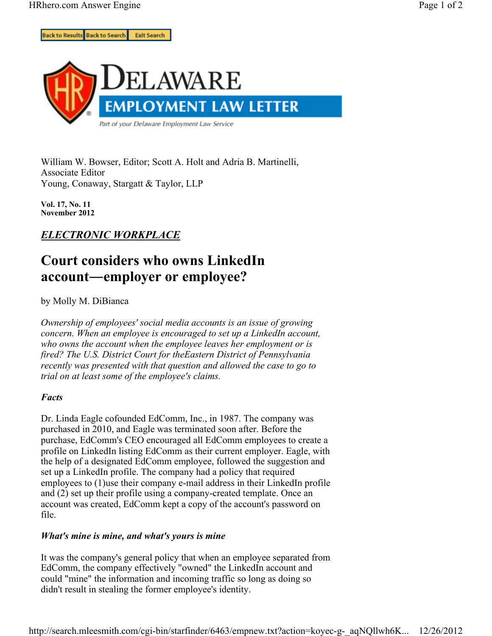

William W. Bowser, Editor; Scott A. Holt and Adria B. Martinelli, Associate Editor Young, Conaway, Stargatt & Taylor, LLP

**Vol. 17, No. 11 November 2012**

# *ELECTRONIC WORKPLACE*

# **Court considers who owns LinkedIn account―employer or employee?**

by Molly M. DiBianca

*Ownership of employees' social media accounts is an issue of growing concern. When an employee is encouraged to set up a LinkedIn account, who owns the account when the employee leaves her employment or is fired? The U.S. District Court for theEastern District of Pennsylvania recently was presented with that question and allowed the case to go to trial on at least some of the employee's claims.*

## *Facts*

Dr. Linda Eagle cofounded EdComm, Inc., in 1987. The company was purchased in 2010, and Eagle was terminated soon after. Before the purchase, EdComm's CEO encouraged all EdComm employees to create a profile on LinkedIn listing EdComm as their current employer. Eagle, with the help of a designated EdComm employee, followed the suggestion and set up a LinkedIn profile. The company had a policy that required employees to (1)use their company e-mail address in their LinkedIn profile and (2) set up their profile using a company-created template. Once an account was created, EdComm kept a copy of the account's password on file.

#### *What's mine is mine, and what's yours is mine*

It was the company's general policy that when an employee separated from EdComm, the company effectively "owned" the LinkedIn account and could "mine" the information and incoming traffic so long as doing so didn't result in stealing the former employee's identity.